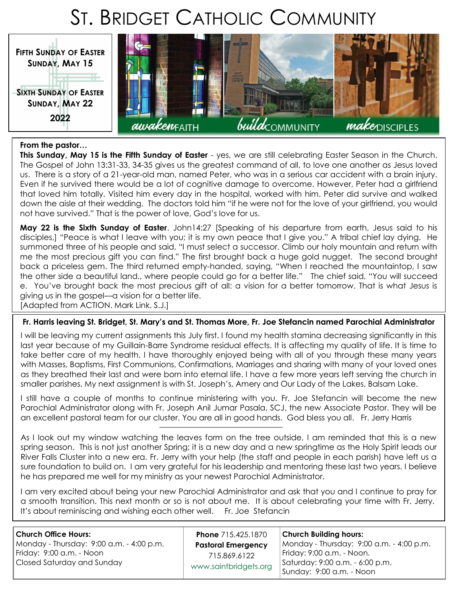# ST. BRIDGET CATHOLIC COMMUNITY



#### **From the pastor…**

**This Sunday, May 15 is the Fifth Sunday of Easter** - yes, we are still celebrating Easter Season in the Church. The Gospel of John 13:31-33, 34-35 gives us the greatest command of all, to love one another as Jesus loved us. There is a story of a 21-year-old man, named Peter, who was in a serious car accident with a brain injury. Even if he survived there would be a lot of cognitive damage to overcome. However, Peter had a girlfriend that loved him totally. Visited him every day in the hospital, worked with him. Peter did survive and walked down the aisle at their wedding. The doctors told him "if he were not for the love of your girlfriend, you would not have survived." That is the power of love, God's love for us.

**May 22 is the Sixth Sunday of Easter**. John14:27 [Speaking of his departure from earth, Jesus said to his disciples,] "Peace is what I leave with you; it is my own peace that I give you." A tribal chief lay dying. He summoned three of his people and said, "I must select a successor. Climb our holy mountain and return with me the most precious gift you can find." The first brought back a huge gold nugget. The second brought back a priceless gem. The third returned empty-handed, saying, "When I reached the mountaintop, I saw the other side a beautiful land., where people could go for a better life." The chief said, "You will succeed e. You've brought back the most precious gift of all: a vision for a better tomorrow. That is what Jesus is giving us in the gospel—a vision for a better life.

[Adapted from ACTION. Mark Link, S.J.]

#### **Fr. Harris leaving St. Bridget, St. Mary's and St. Thomas More, Fr. Joe Stefancin named Parochial Administrator**

I will be leaving my current assignments this July first. I found my health stamina decreasing significantly in this last year because of my Guillain-Barre Syndrome residual effects. It is affecting my quality of life. It is time to take better care of my health. I have thoroughly enjoyed being with all of you through these many years with Masses, Baptisms, First Communions, Confirmations, Marriages and sharing with many of your loved ones as they breathed their last and were born into eternal life. I have a few more years left serving the church in smaller parishes. My next assignment is with St. Joseph's, Amery and Our Lady of the Lakes, Balsam Lake.

I still have a couple of months to continue ministering with you. Fr. Joe Stefancin will become the new Parochial Administrator along with Fr. Joseph Anil Jumar Pasala, SCJ, the new Associate Pastor. They will be an excellent pastoral team for our cluster. You are all in good hands. God bless you all. Fr. Jerry Harris

As I look out my window watching the leaves form on the tree outside, I am reminded that this is a new spring season. This is not just another Spring; it is a new day and a new springtime as the Holy Spirit leads our River Falls Cluster into a new era. Fr. Jerry with your help (the staff and people in each parish) have left us a sure foundation to build on. I am very grateful for his leadership and mentoring these last two years. I believe he has prepared me well for my ministry as your newest Parochial Administrator.

I am very excited about being your new Parochial Administrator and ask that you and I continue to pray for a smooth transition. This next month or so is not about me. It is about celebrating your time with Fr. Jerry. It's about reminiscing and wishing each other well. Fr. Joe Stefancin

**Phone** 715.425.1870 **Pastoral Emergency**  715.869.6122 [www.saintbridgets.org](http://www.saintbridgets.org)

**Church Building hours:** Monday - Thursday: 9:00 a.m. - 4:00 p.m. Friday: 9:00 a.m. - Noon. Saturday: 9:00 a.m. - 6:00 p.m. Sunday: 9:00 a.m. - Noon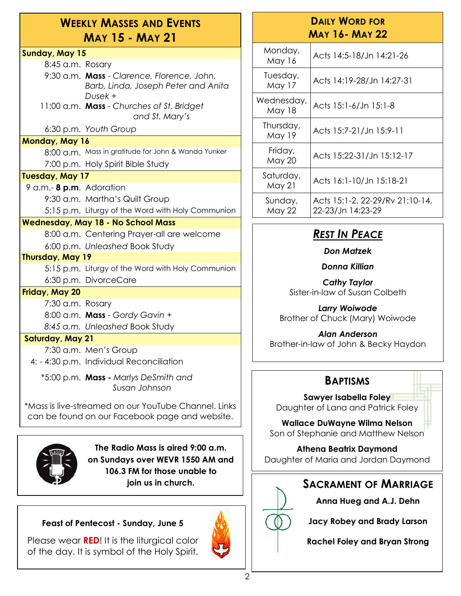### **WEEKLY MASSES AND EVENTS MAY 15 - MAY 21**

### **Sunday, May 15**

8:45 a.m. Rosary

9:30 a.m. **Mass** - *Clarence, Florence, John, Barb, Linda, Joseph Peter and Anita Dusek* +

11:00 a.m. **Mass** - *Churches of St. Bridget and St. Mary's*

6:30 p.m. *Youth Group*

### **Monday, May 16**

8:00 a.m. Mass in gratitude for John & Wanda Yunker 7:00 p.m. Holy Spirit Bible Study

### **Tuesday, May 17**

9 a.m.- **8 p.m**. Adoration 9:30 a.m. Martha's Quilt Group 5:15 p.m. Liturgy of the Word with Holy Communion

### **Wednesday, May 18 - No School Mass**

8:00 a.m. Centering Prayer-all are welcome

6:00 p.m. *Unleashed* Book Study

### **Thursday, May 19**

5:15 p.m. Liturgy of the Word with Holy Communion 6:30 p.m. DivorceCare

### **Friday, May 20**

7:30 a.m. Rosary

8:00 a.m. **Mass** - *Gordy Gavin + 8:45 a.m. Unleashed* Book Study

### **Saturday, May 21**

7:30 a.m. Men's Group

4: - 4:30 p.m. Individual Reconciliation

\*5:00 p.m. **Mass -** *Marlys DeSmith and Susan Johnson* 

\*Mass is live-streamed on our YouTube Channel. Links can be found on our Facebook page and website.



**The Radio Mass is aired 9:00 a.m. on Sundays over WEVR 1550 AM and 106.3 FM for those unable to** 

### **Feast of Pentecost - Sunday, June 5**

Please wear **RED**! It is the liturgical color of the day. It is symbol of the Holy Spirit.



### **DAILY WORD FOR MAY 16- MAY 22**

| Monday,<br><b>May 16</b>    | Acts 14:5-18/Jn 14:21-26                             |
|-----------------------------|------------------------------------------------------|
| Tuesday,<br>May 17          | Acts 14:19-28/Jn 14:27-31                            |
| Wednesday,<br><b>May 18</b> | Acts 15:1-6/Jn 15:1-8                                |
| Thursday,<br>May 19         | Acts 15:7-21/Jn 15:9-11                              |
| Friday,<br>May 20           | Acts 15:22-31/Jn 15:12-17                            |
| Saturday,<br>May 21         | Acts 16:1-10/Jn 15:18-21                             |
| Sunday,<br><b>May 22</b>    | Acts 15:1-2, 22-29/Rv 21:10-14,<br>22-23/Jn 14:23-29 |

### *REST IN PEACE*

*Don Matzek*

*Donna Killian*

*Cathy Taylor* Sister-in-law of Susan Colbeth

*Larry Woiwode* Brother of Chuck (Mary) Woiwode

*Alan Anderson* Brother-in-law of John & Becky Haydon

### **BAPTISMS**

**Sawyer Isabella Foley** Daughter of Lana and Patrick Foley

**Wallace DuWayne Wilma Nelson** Son of Stephanie and Matthew Nelson

**Athena Beatrix Daymond** Daughter of Maria and Jordan Daymond

### **join us in church. SACRAMENT OF MARRIAGE**

**Anna Hueg and A.J. Dehn**

**Jacy Robey and Brady Larson**

**Rachel Foley and Bryan Strong**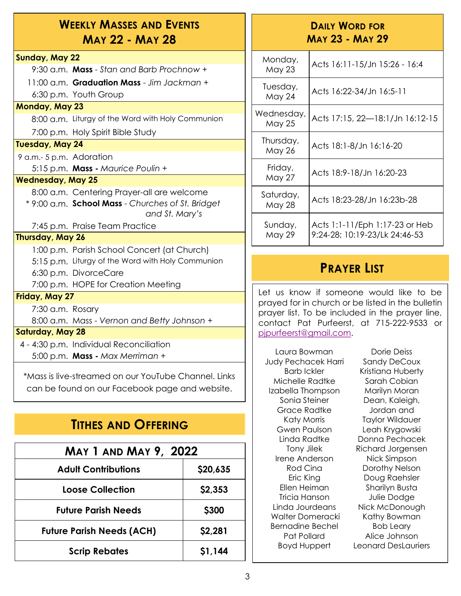### **WEEKLY MASSES AND EVENTS MAY 22 - MAY 28**

### **Sunday, May 22**

9:30 a.m. **Mass** - *Stan and Barb Prochnow +* 11:00 a.m. **Graduation Mass** - *Jim Jackman +* 6:30 p.m. Youth Group

#### **Monday, May 23**

8:00 a.m. Liturgy of the Word with Holy Communion

7:00 p.m. Holy Spirit Bible Study

#### **Tuesday, May 24**

9 a.m.- 5 p.m. Adoration

5:15 p.m. **Mass -** *Maurice Poulin +*

### **Wednesday, May 25**

8:00 a.m. Centering Prayer-all are welcome

\* 9:00 a.m. **School Mass** - *Churches of St. Bridget and St. Mary's*

7:45 p.m. Praise Team Practice

### **Thursday, May 26**

1:00 p.m. Parish School Concert (at Church) 5:15 p.m. Liturgy of the Word with Holy Communion 6:30 p.m. DivorceCare

7:00 p.m. HOPE for Creation Meeting

### **Friday, May 27**

7:30 a.m. Rosary

8:00 a.m. Mass - *Vernon and Betty Johnson* +

### **Saturday, May 28**

4 - 4:30 p.m. Individual Reconciliation 5:00 p.m. **Mass -** *Max Merriman +*

\*Mass is live-streamed on our YouTube Channel. Links can be found on our Facebook page and website.

### **TITHES AND OFFERING**

| <b>MAY 1 AND MAY 9, 2022</b>     |              |  |
|----------------------------------|--------------|--|
| <b>Adult Contributions</b>       | \$20,635     |  |
| Loose Collection                 | \$2,353      |  |
| <b>Future Parish Needs</b>       | <b>\$300</b> |  |
| <b>Future Parish Needs (ACH)</b> | \$2,281      |  |
| <b>Scrip Rebates</b>             | \$1,144      |  |

### **DAILY WORD FOR MAY 23 - MAY 29**

| Monday,<br><b>May 23</b>   | Acts 16:11-15/Jn 15:26 - 16:4                                   |
|----------------------------|-----------------------------------------------------------------|
| Tuesday,<br><b>May 24</b>  | Acts 16:22-34/Jn 16:5-11                                        |
| Wednesday,<br>May 25       | Acts 17:15, 22-18:1/Jn 16:12-15                                 |
| Thursday,<br><b>May 26</b> | Acts 18:1-8/Jn 16:16-20                                         |
| Friday,<br><b>May 27</b>   | Acts 18:9-18/Jn 16:20-23                                        |
| Saturday,<br><b>May 28</b> | Acts 18:23-28/Jn 16:23b-28                                      |
| Sunday,<br>May 29          | Acts 1:1-11/Eph 1:17-23 or Heb<br>9:24-28; 10:19-23/Lk 24:46-53 |

### **PRAYER LIST**

Let us know if someone would like to be prayed for in church or be listed in the bulletin prayer list. To be included in the prayer line, contact Pat Purfeerst, at 715-222-9533 or [pjpurfeerst@gmail.com.](mailto:pjpurfeerst@gmail.com)

Laura Bowman Judy Pechacek Harri Barb Ickler Michelle Radtke Izabella Thompson Sonia Steiner Grace Radtke Katy Morris Gwen Paulson Linda Radtke Tony Jilek Irene Anderson Rod Cina Eric King Ellen Heiman Tricia Hanson Linda Jourdeans Walter Domeracki Bernadine Bechel Pat Pollard Boyd Huppert

Dorie Deiss Sandy DeCoux Kristiana Huberty Sarah Cobian Marilyn Moran Dean, Kaleigh, Jordan and Taylor Wildauer Leah Krygowski Donna Pechacek Richard Jorgensen Nick Simpson Dorothy Nelson Doug Raehsler Sharilyn Busta Julie Dodge Nick McDonough Kathy Bowman Bob Leary Alice Johnson Leonard DesLauriers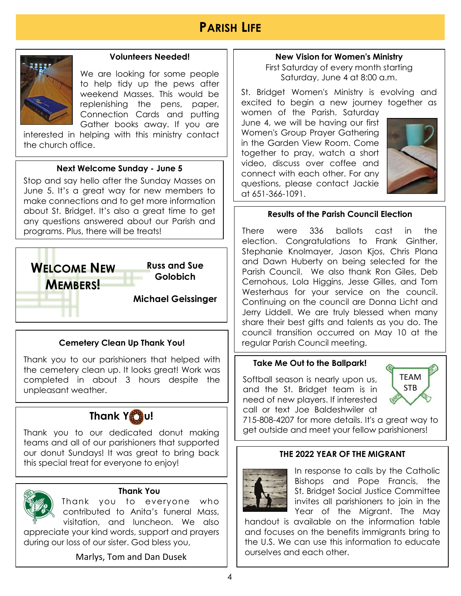

#### **Volunteers Needed!**

We are looking for some people to help tidy up the pews after weekend Masses. This would be replenishing the pens, paper, Connection Cards and putting Gather books away. If you are

interested in helping with this ministry contact the church office.

#### **Next Welcome Sunday - June 5**

Stop and say hello after the Sunday Masses on June 5. It's a great way for new members to make connections and to get more information about St. Bridget. It's also a great time to get any questions answered about our Parish and programs. Plus, there will be treats!



### **Cemetery Clean Up Thank You!**

Thank you to our parishioners that helped with the cemetery clean up. It looks great! Work was completed in about 3 hours despite the unpleasant weather.



Thank you to our dedicated donut making teams and all of our parishioners that supported our donut Sundays! It was great to bring back this special treat for everyone to enjoy!



#### **Thank You**

Thank you to everyone who contributed to Anita's funeral Mass, visitation, and luncheon. We also

appreciate your kind words, support and prayers during our loss of our sister. God bless you,

### Marlys, Tom and Dan Dusek

#### **New Vision for Women's Ministry**

First Saturday of every month starting Saturday, June 4 at 8:00 a.m.

St. Bridget Women's Ministry is evolving and excited to begin a new journey together as women of the Parish. Saturday

June 4, we will be having our first Women's Group Prayer Gathering in the Garden View Room. Come together to pray, watch a short video, discuss over coffee and connect with each other. For any questions, please contact Jackie at 651-366-1091.



### **Results of the Parish Council Election**

There were 336 ballots cast in the election. Congratulations to Frank Ginther, Stephanie Knolmayer, Jason Kjos, Chris Plana and Dawn Huberty on being selected for the Parish Council. We also thank Ron Giles, Deb Cernohous, Lola Higgins, Jesse Gilles, and Tom Westerhaus for your service on the council. Continuing on the council are Donna Licht and Jerry Liddell. We are truly blessed when many share their best gifts and talents as you do. The council transition occurred on May 10 at the regular Parish Council meeting.

#### **Take Me Out to the Ballpark!**

Softball season is nearly upon us, and the St. Bridget team is in need of new players. If interested call or text Joe Baldeshwiler at



715-808-4207 for more details. It's a great way to get outside and meet your fellow parishioners!

#### **THE 2022 YEAR OF THE MIGRANT**



In response to calls by the Catholic Bishops and Pope Francis, the St. Bridget Social Justice Committee invites all parishioners to join in the Year of the Migrant. The May

handout is available on the information table and focuses on the benefits immigrants bring to the U.S. We can use this information to educate ourselves and each other.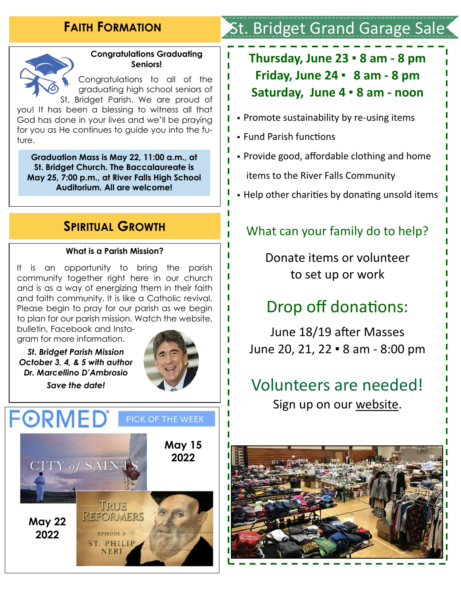### **FAITH FORMATION**



### **Congratulations Graduating Seniors!**

Congratulations to all of the graduating high school seniors of St. Bridget Parish. We are proud of

you! It has been a blessing to witness all that God has done in your lives and we'll be praying for you as He continues to guide you into the future.

**Graduation Mass is May 22, 11:00 a.m., at St. Bridget Church. The Baccalaureate is May 25, 7:00 p.m., at River Falls High School Auditorium. All are welcome!**

### **SPIRITUAL GROWTH**

#### **What is a Parish Mission?**

It is an opportunity to bring the parish community together right here in our church and is as a way of energizing them in their faith and faith community. It is like a Catholic revival. Please begin to pray for our parish as we begin to plan for our parish mission. Watch the website, bulletin, Facebook and Insta-

gram for more information.

*St. Bridget Parish Mission October 3, 4, & 5 with author Dr. Marcellino D'Ambrosio* 

*Save the date!*





# . Bridget Grand Garage Sale

## **Thursday, June 23 ▪ 8 am - 8 pm Friday, June 24 ▪ 8 am - 8 pm Saturday, June 4 ▪ 8 am - noon**

- Promote sustainability by re-using items
- Fund Parish functions
- Provide good, affordable clothing and home items to the River Falls Community
- Help other charities by donating unsold items

### What can your family do to help?

Donate items or volunteer to set up or work

# Drop off donations:

June 18/19 after Masses June 20, 21, 22 ▪ 8 am - 8:00 pm

# Volunteers are needed! Sign up on our [website.](https://www.signupgenius.com/go/5080445a5a722a6fe3-stbridget2)